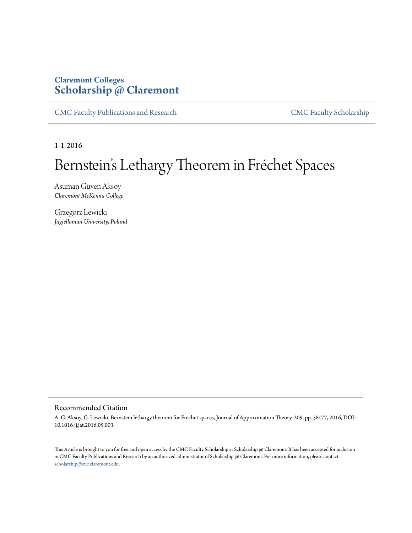### **Claremont Colleges [Scholarship @ Claremont](http://scholarship.claremont.edu)**

[CMC Faculty Publications and Research](http://scholarship.claremont.edu/cmc_fac_pub) [CMC Faculty Scholarship](http://scholarship.claremont.edu/cmc_faculty)

1-1-2016

# Bernstein's Lethargy Theorem in Fréchet Spaces

Asuman Güven Aksoy *Claremont McKenna College*

Grzegorz Lewicki *Jagiellonian University, Poland*

#### Recommended Citation

A. G. Aksoy, G. Lewicki, Bernstein lethargy theorem for Frechet spaces, Journal of Approximation Theory, 209, pp. 58{77, 2016, DOI: 10.1016/j.jat.2016.05.003.

This Article is brought to you for free and open access by the CMC Faculty Scholarship at Scholarship @ Claremont. It has been accepted for inclusion in CMC Faculty Publications and Research by an authorized administrator of Scholarship @ Claremont. For more information, please contact [scholarship@cuc.claremont.edu.](mailto:scholarship@cuc.claremont.edu)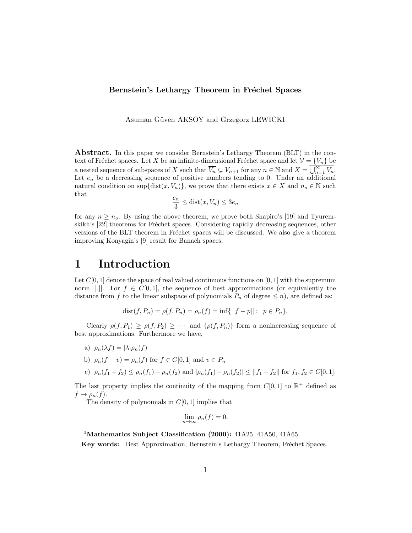#### Bernstein's Lethargy Theorem in Fréchet Spaces

Asuman Güven AKSOY and Grzegorz LEWICKI

Abstract. In this paper we consider Bernstein's Lethargy Theorem (BLT) in the context of Fréchet spaces. Let X be an infinite-dimensional Fréchet space and let  $\mathcal{V} = \{V_n\}$  be a nested sequence of subspaces of X such that  $\overline{V_n} \subseteq V_{n+1}$  for any  $n \in \mathbb{N}$  and  $X = \overline{\bigcup_{n=1}^{\infty} V_n}$ . Let  $e_n$  be a decreasing sequence of positive numbers tending to 0. Under an additional natural condition on sup{dist $(x, V_n)$ }, we prove that there exists  $x \in X$  and  $n_o \in \mathbb{N}$  such that

$$
\frac{e_n}{3} \le \text{dist}(x, V_n) \le 3e_n
$$

for any  $n \geq n_o$ . By using the above theorem, we prove both Shapiro's [19] and Tyuremskikh's [22] theorems for Fréchet spaces. Considering rapidly decreasing sequences, other versions of the BLT theorem in Fréchet spaces will be discussed. We also give a theorem improving Konyagin's [9] result for Banach spaces.

# 1 Introduction

Let  $C[0, 1]$  denote the space of real valued continuous functions on [0, 1] with the supremum norm  $||.||.$  For  $f \in C[0,1]$ , the sequence of best approximations (or equivalently the distance from f to the linear subspace of polynomials  $P_n$  of degree  $\leq n$ , are defined as:

$$
dist(f, P_n) = \rho(f, P_n) = \rho_n(f) = \inf \{ ||f - p|| : p \in P_n \}.
$$

Clearly  $\rho(f, P_1) \geq \rho(f, P_2) \geq \cdots$  and  $\{\rho(f, P_n)\}\$ form a nonincreasing sequence of best approximations. Furthermore we have,

- a)  $\rho_n(\lambda f) = |\lambda| \rho_n(f)$
- b)  $\rho_n(f + v) = \rho_n(f)$  for  $f \in C[0, 1]$  and  $v \in P_n$

c) 
$$
\rho_n(f_1 + f_2) \le \rho_n(f_1) + \rho_n(f_2)
$$
 and  $|\rho_n(f_1) - \rho_n(f_2)| \le ||f_1 - f_2||$  for  $f_1, f_2 \in C[0, 1]$ .

The last property implies the continuity of the mapping from  $C[0,1]$  to  $\mathbb{R}^+$  defined as  $f \to \rho_n(f)$ .

The density of polynomials in  $C[0, 1]$  implies that

$$
\lim_{n \to \infty} \rho_n(f) = 0.
$$

 $0$ Mathematics Subject Classification (2000): 41A25, 41A50, 41A65.

Key words: Best Approximation, Bernstein's Lethargy Theorem, Fréchet Spaces.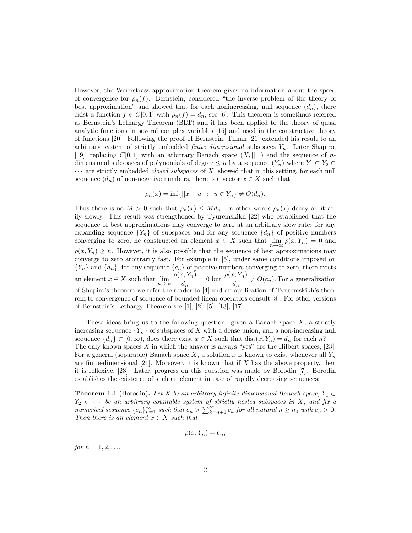However, the Weierstrass approximation theorem gives no information about the speed of convergence for  $\rho_n(f)$ . Bernstein, considered "the inverse problem of the theory of best approximation" and showed that for each nonincreasing, null sequence  $(d_n)$ , there exist a function  $f \in C[0,1]$  with  $\rho_n(f) = d_n$ , see [6]. This theorem is sometimes referred as Bernstein's Lethargy Theorem (BLT) and it has been applied to the theory of quasi analytic functions in several complex variables [15] and used in the constructive theory of functions [20]. Following the proof of Bernstein, Timan [21] extended his result to an arbitrary system of strictly embedded *finite dimensional* subspaces  $Y_n$ . Later Shapiro, [19], replacing  $C[0, 1]$  with an arbitrary Banach space  $(X, ||.||)$  and the sequence of ndimensional subspaces of polynomials of degree  $\leq n$  by a sequence  $(Y_n)$  where  $Y_1 \subset Y_2 \subset$  $\cdots$  are strictly embedded *closed subspaces* of X, showed that in this setting, for each null sequence  $(d_n)$  of non-negative numbers, there is a vector  $x \in X$  such that

$$
\rho_n(x) = \inf \{ ||x - u|| : u \in Y_n \} \neq O(d_n).
$$

Thus there is no  $M > 0$  such that  $\rho_n(x) \leq M d_n$ . In other words  $\rho_n(x)$  decay arbitrarily slowly. This result was strengthened by Tyuremskikh [22] who established that the sequence of best approximations may converge to zero at an arbitrary slow rate: for any expanding sequence  ${Y_n}$  of subspaces and for any sequence  ${d_n}$  of positive numbers converging to zero, he constructed an element  $x \in X$  such that  $\lim_{n\to\infty} \rho(x, Y_n) = 0$  and  $\rho(x, Y_n) \geq n$ . However, it is also possible that the sequence of best approximations may converge to zero arbitrarily fast. For example in [5], under same conditions imposed on  ${Y_n}$  and  ${d_n}$ , for any sequence  ${c_n}$  of positive numbers converging to zero, there exists an element  $x \in X$  such that  $\lim_{n \to \infty} \frac{\rho(x, Y_n)}{d_n}$  $\frac{d(x, Y_n)}{d_n} = 0$  but  $\frac{\rho(x, Y_n)}{d_n} \neq O(c_n)$ . For a generalization of Shapiro's theorem we refer the reader to [4] and an application of Tyuremskikh's theorem to convergence of sequence of bounded linear operators consult [8]. For other versions of Bernstein's Lethargy Theorem see  $[1], [2], [5], [13], [17].$ 

These ideas bring us to the following question: given a Banach space  $X$ , a strictly increasing sequence  ${Y_n}$  of subspaces of X with a dense union, and a non-increasing null sequence  $\{d_n\} \subset [0,\infty)$ , does there exist  $x \in X$  such that  $dist(x, Y_n) = d_n$  for each n? The only known spaces  $X$  in which the answer is always "yes" are the Hilbert spaces, [23]. For a general (separable) Banach space X, a solution x is known to exist whenever all  $Y_n$ are finite-dimensional  $[21]$ . Moreover, it is known that if X has the above property, then it is reflexive, [23]. Later, progress on this question was made by Borodin [7]. Borodin establishes the existence of such an element in case of rapidly decreasing sequences:

**Theorem 1.1** (Borodin). Let X be an arbitrary infinite-dimensional Banach space,  $Y_1 \subset$  $Y_2 \subset \cdots$  be an arbitrary countable system of strictly nested subspaces in X, and fix a numerical sequence  $\{e_n\}_{n=1}^{\infty}$  such that  $e_n > \sum_{k=n+1}^{\infty} e_k$  for all natural  $n \ge n_0$  with  $e_n > 0$ . Then there is an element  $x \in X$  such that

$$
\rho(x, Y_n) = e_n,
$$

*for*  $n = 1, 2, \ldots$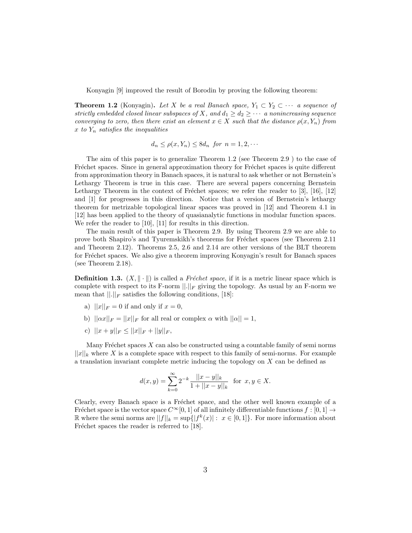Konyagin [9] improved the result of Borodin by proving the following theorem:

**Theorem 1.2** (Konyagin). Let X be a real Banach space,  $Y_1 \subset Y_2 \subset \cdots$  a sequence of strictly embedded closed linear subspaces of X, and  $d_1 \geq d_2 \geq \cdots$  a nonincreasing sequence converging to zero, then there exist an element  $x \in X$  such that the distance  $\rho(x, Y_n)$  from x to  $Y_n$  satisfies the inequalities

$$
d_n \le \rho(x, Y_n) \le 8d_n \text{ for } n = 1, 2, \cdots
$$

The aim of this paper is to generalize Theorem 1.2 (see Theorem 2.9 ) to the case of Fréchet spaces. Since in general approximation theory for Fréchet spaces is quite different from approximation theory in Banach spaces, it is natural to ask whether or not Bernstein's Lethargy Theorem is true in this case. There are several papers concerning Bernstein Lethargy Theorem in the context of Fréchet spaces; we refer the reader to  $[3]$ ,  $[16]$ ,  $[12]$ and [1] for progresses in this direction. Notice that a version of Bernstein's lethargy theorem for metrizable topological linear spaces was proved in [12] and Theorem 4.1 in [12] has been applied to the theory of quasianalytic functions in modular function spaces. We refer the reader to [10], [11] for results in this direction.

The main result of this paper is Theorem 2.9. By using Theorem 2.9 we are able to prove both Shapiro's and Tyuremskikh's theorems for Fréchet spaces (see Theorem 2.11 and Theorem 2.12). Theorems 2.5, 2.6 and 2.14 are other versions of the BLT theorem for Fréchet spaces. We also give a theorem improving Konyagin's result for Banach spaces (see Theorem 2.18).

**Definition 1.3.**  $(X, \|\cdot\|)$  is called a *Fréchet space*, if it is a metric linear space which is complete with respect to its F-norm  $\lVert \cdot \rVert_F$  giving the topology. As usual by an F-norm we mean that  $\|.\|_F$  satisfies the following conditions, [18]:

- a)  $||x||_F = 0$  if and only if  $x = 0$ ,
- b)  $||\alpha x||_F = ||x||_F$  for all real or complex  $\alpha$  with  $||\alpha|| = 1$ ,
- c)  $||x + y||_F < ||x||_F + ||y||_F$ ,

Many Fréchet spaces  $X$  can also be constructed using a countable family of semi norms  $||x||_k$  where X is a complete space with respect to this family of semi-norms. For example a translation invariant complete metric inducing the topology on  $X$  can be defined as

$$
d(x,y) = \sum_{k=0}^{\infty} 2^{-k} \frac{||x-y||_k}{1+||x-y||_k} \text{ for } x, y \in X.
$$

Clearly, every Banach space is a Fréchet space, and the other well known example of a Fréchet space is the vector space  $C^{\infty}[0, 1]$  of all infinitely differentiable functions  $f : [0, 1] \rightarrow$ R where the semi norms are  $||f||_k = \sup\{|f^k(x)| : x \in [0,1]\}.$  For more information about Fréchet spaces the reader is referred to [18].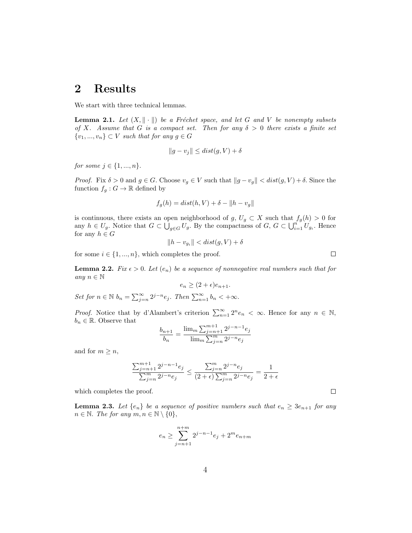### 2 Results

We start with three technical lemmas.

**Lemma 2.1.** Let  $(X, \|\cdot\|)$  be a Fréchet space, and let G and V be nonempty subsets of X. Assume that G is a compact set. Then for any  $\delta > 0$  there exists a finite set  $\{v_1, ..., v_n\} \subset V$  such that for any  $g \in G$ 

$$
||g - v_j|| \le dist(g, V) + \delta
$$

for some  $j \in \{1, ..., n\}$ .

*Proof.* Fix  $\delta > 0$  and  $g \in G$ . Choose  $v_g \in V$  such that  $||g - v_g|| < dist(g, V) + \delta$ . Since the function  $f_g: G \to \mathbb{R}$  defined by

$$
f_g(h) = dist(h, V) + \delta - ||h - v_g||
$$

is continuous, there exists an open neighborhood of  $g, U_g \subset X$  such that  $f_g(h) > 0$  for any  $h \in U_g$ . Notice that  $G \subset \bigcup_{g \in G} U_g$ . By the compactness of  $G, G \subset \bigcup_{i=1}^{n} U_{gi}$ . Hence for any  $h \in G$ 

$$
||h - v_{g_i}|| < dist(g, V) + \delta
$$

for some  $i \in \{1, ..., n\}$ , which completes the proof.

**Lemma 2.2.** Fix  $\epsilon > 0$ . Let  $(e_n)$  be a sequence of nonnegative real numbers such that for any  $n \in \mathbb{N}$  $e_n \geq (2+\epsilon)e_{n+1}.$ 

Set for  $n \in \mathbb{N}$   $b_n = \sum_{j=n}^{\infty} 2^{j-n} e_j$ . Then  $\sum_{n=1}^{\infty} b_n < +\infty$ .

*Proof.* Notice that by d'Alambert's criterion  $\sum_{n=1}^{\infty} 2^n e_n < \infty$ . Hence for any  $n \in \mathbb{N}$ ,  $b_n \in \mathbb{R}$ . Observe that

$$
\frac{b_{n+1}}{b_n} = \frac{\lim_{m} \sum_{j=n+1}^{m+1} 2^{j-n-1} e_j}{\lim_{m} \sum_{j=n}^{m} 2^{j-n} e_j}
$$

and for  $m \geq n$ ,

$$
\frac{\sum_{j=n+1}^{m+1} 2^{j-n-1} e_j}{\sum_{j=n}^{m} 2^{j-n} e_j} \leq \frac{\sum_{j=n}^{m} 2^{j-n} e_j}{(2+\epsilon) \sum_{j=n}^{m} 2^{j-n} e_j} = \frac{1}{2+\epsilon}
$$

which completes the proof.

**Lemma 2.3.** Let  $\{e_n\}$  be a sequence of positive numbers such that  $e_n \geq 3e_{n+1}$  for any  $n \in \mathbb{N}$ . The for any  $m, n \in \mathbb{N} \setminus \{0\},\$ 

$$
e_n \geq \sum_{j=n+1}^{n+m} 2^{j-n-1} e_j + 2^m e_{n+m}
$$

 $\Box$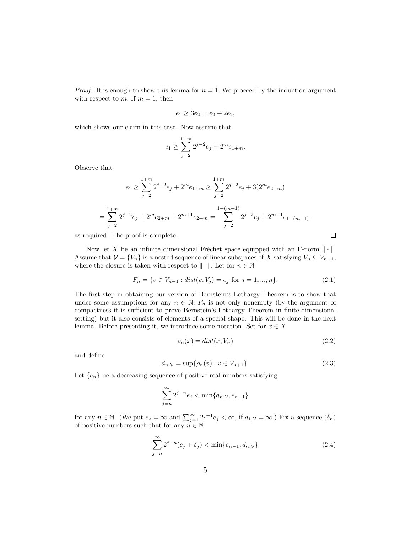*Proof.* It is enough to show this lemma for  $n = 1$ . We proceed by the induction argument with respect to m. If  $m = 1$ , then

$$
e_1 \ge 3e_2 = e_2 + 2e_2,
$$

which shows our claim in this case. Now assume that

$$
e_1 \ge \sum_{j=2}^{1+m} 2^{j-2} e_j + 2^m e_{1+m}.
$$

Observe that

$$
e_1 \ge \sum_{j=2}^{1+m} 2^{j-2}e_j + 2^m e_{1+m} \ge \sum_{j=2}^{1+m} 2^{j-2}e_j + 3(2^m e_{2+m})
$$
  
= 
$$
\sum_{j=2}^{1+m} 2^{j-2}e_j + 2^m e_{2+m} + 2^{m+1} e_{2+m} = \sum_{j=2}^{1+(m+1)} 2^{j-2}e_j + 2^{m+1} e_{1+(m+1)},
$$

as required. The proof is complete.

Now let X be an infinite dimensional Fréchet space equipped with an F-norm  $\|\cdot\|$ . Assume that  $V = \{V_n\}$  is a nested sequence of linear subspaces of X satisfying  $\overline{V_n} \subseteq V_{n+1}$ , where the closure is taken with respect to  $\|\cdot\|$ . Let for  $n \in \mathbb{N}$ 

$$
F_n = \{ v \in V_{n+1} : dist(v, V_j) = e_j \text{ for } j = 1, ..., n \}. \tag{2.1}
$$

The first step in obtaining our version of Bernstein's Lethargy Theorem is to show that under some assumptions for any  $n \in \mathbb{N}$ ,  $F_n$  is not only nonempty (by the argument of compactness it is sufficient to prove Bernstein's Lethargy Theorem in finite-dimensional setting) but it also consists of elements of a special shape. This will be done in the next lemma. Before presenting it, we introduce some notation. Set for  $x \in X$ 

$$
\rho_n(x) = dist(x, V_n) \tag{2.2}
$$

 $\Box$ 

and define

$$
d_{n,V} = \sup \{ \rho_n(v) : v \in V_{n+1} \}.
$$
\n(2.3)

Let  ${e_n}$  be a decreasing sequence of positive real numbers satisfying

$$
\sum_{j=n}^{\infty} 2^{j-n} e_j < \min\{d_{n,\mathcal{V}}, e_{n-1}\}
$$

for any  $n \in \mathbb{N}$ . (We put  $e_o = \infty$  and  $\sum_{j=1}^{\infty} 2^{j-1} e_j < \infty$ , if  $d_{1,\mathcal{V}} = \infty$ .) Fix a sequence  $(\delta_n)$ of positive numbers such that for any  $n \in \mathbb{N}$ 

$$
\sum_{j=n}^{\infty} 2^{j-n}(e_j + \delta_j) < \min\{e_{n-1}, d_{n,\mathcal{V}}\} \tag{2.4}
$$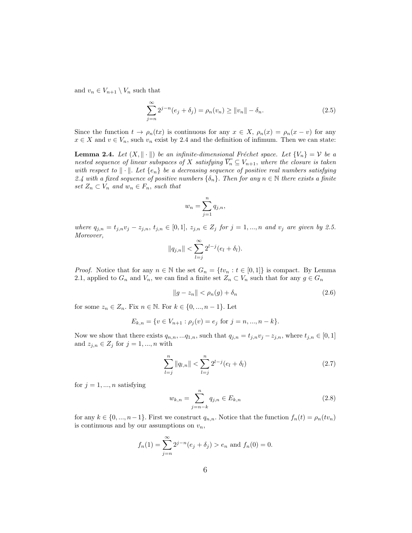and  $v_n \in V_{n+1} \setminus V_n$  such that

$$
\sum_{j=n}^{\infty} 2^{j-n}(e_j + \delta_j) = \rho_n(v_n) \ge ||v_n|| - \delta_n.
$$
 (2.5)

Since the function  $t \to \rho_n(tx)$  is continuous for any  $x \in X$ ,  $\rho_n(x) = \rho_n(x - v)$  for any  $x \in X$  and  $v \in V_n$ , such  $v_n$  exist by 2.4 and the definition of infimum. Then we can state:

**Lemma 2.4.** Let  $(X, \|\cdot\|)$  be an infinite-dimensional Fréchet space. Let  $\{V_n\} = \mathcal{V}$  be a nested sequence of linear subspaces of X satisfying  $\overline{V_n} \subseteq V_{n+1}$ , where the closure is taken with respect to  $\|\cdot\|$ . Let  $\{e_n\}$  be a decreasing sequence of positive real numbers satisfying 2.4 with a fixed sequence of positive numbers  $\{\delta_n\}$ . Then for any  $n \in \mathbb{N}$  there exists a finite set  $Z_n \subset V_n$  and  $w_n \in F_n$ , such that

$$
w_n = \sum_{j=1}^n q_{j,n},
$$

where  $q_{j,n} = t_{j,n}v_j - z_{j,n}, t_{j,n} \in [0,1], z_{j,n} \in Z_j$  for  $j = 1, ..., n$  and  $v_j$  are given by 2.5. Moreover,

$$
||q_{j,n}|| < \sum_{l=j}^{\infty} 2^{l-j} (e_l + \delta_l).
$$

*Proof.* Notice that for any  $n \in \mathbb{N}$  the set  $G_n = \{tv_n : t \in [0,1]\}\$  is compact. By Lemma 2.1, applied to  $G_n$  and  $V_n$ , we can find a finite set  $Z_n \subset V_n$  such that for any  $g \in G_n$ 

$$
||g - z_n|| < \rho_n(g) + \delta_n \tag{2.6}
$$

for some  $z_n \in Z_n$ . Fix  $n \in \mathbb{N}$ . For  $k \in \{0, ..., n-1\}$ . Let

$$
E_{k,n} = \{ v \in V_{n+1} : \rho_j(v) = e_j \text{ for } j = n, ..., n-k \}.
$$

Now we show that there exists  $q_{n,n}, \ldots q_{1,n}$ , such that  $q_{j,n} = t_{j,n}v_j - z_{j,n}$ , where  $t_{j,n} \in [0,1]$ and  $z_{j,n} \in Z_j$  for  $j = 1, ..., n$  with

$$
\sum_{l=j}^{n} \|q_{l,n}\| < \sum_{l=j}^{n} 2^{l-j} (e_l + \delta_l) \tag{2.7}
$$

for  $j = 1, ..., n$  satisfying

$$
w_{k,n} = \sum_{j=n-k}^{n} q_{j,n} \in E_{k,n}
$$
 (2.8)

for any  $k \in \{0, ..., n-1\}$ . First we construct  $q_{n,n}$ . Notice that the function  $f_n(t) = \rho_n(tv_n)$ is continuous and by our assumptions on  $v_n$ ,

$$
f_n(1) = \sum_{j=n}^{\infty} 2^{j-n} (e_j + \delta_j) > e_n
$$
 and  $f_n(0) = 0$ .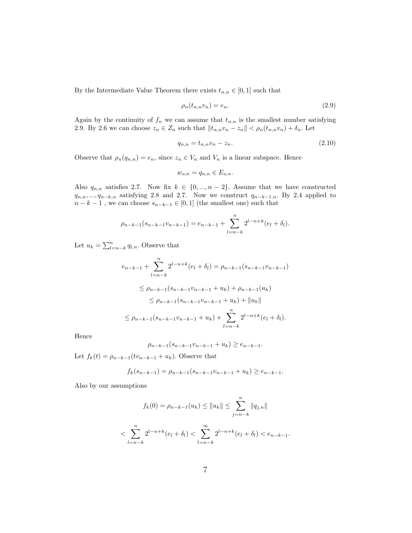By the Intermediate Value Theorem there exists  $t_{n,n} \in [0,1]$  such that

$$
\rho_n(t_{n,n}v_n) = e_n. \tag{2.9}
$$

Again by the continuity of  $f_n$  we can assume that  $t_{n,n}$  is the smallest number satisfying 2.9. By 2.6 we can choose  $z_n \in Z_n$  such that  $||t_{n,n}v_n - z_n|| < \rho_n(t_{n,n}v_n) + \delta_n$ . Let

$$
q_{n,n} = t_{n,n}v_n - z_n.
$$
\n(2.10)

Observe that  $\rho_n(q_{n,n}) = e_n$ , since  $z_n \in V_n$  and  $V_n$  is a linear subspace. Hence

$$
w_{o,n} = q_{n,n} \in E_{o,n}.
$$

Also  $q_{n,n}$  satisfies 2.7. Now fix  $k \in \{0, ..., n-2\}$ . Assume that we have constructed  $q_{n,n},..., q_{n-k,n}$  satisfying 2.8 and 2.7. Now we construct  $q_{n-k-1,n}$ . By 2.4 applied to  $n - k - 1$ , we can choose  $s_{n-k-1} \in [0, 1]$  (the smallest one) such that

$$
\rho_{n-k-1}(s_{n-k-1}v_{n-k-1}) = e_{n-k-1} + \sum_{l=n-k}^{n} 2^{l-n+k}(e_l + \delta_l).
$$

Let  $u_k = \sum_{l=n-k}^{n} q_{l,n}$ . Observe that

$$
e_{n-k-1} + \sum_{l=n-k}^{n} 2^{l-n+k} (e_l + \delta_l) = \rho_{n-k-1} (s_{n-k-1} v_{n-k-1})
$$
  
\n
$$
\leq \rho_{n-k-1} (s_{n-k-1} v_{n-k-1} + u_k) + \rho_{n-k-1} (u_k)
$$
  
\n
$$
\leq \rho_{n-k-1} (s_{n-k-1} v_{n-k-1} + u_k) + ||u_k||
$$
  
\n
$$
\leq \rho_{n-k-1} (s_{n-k-1} v_{n-k-1} + u_k) + \sum_{l=n-k}^{n} 2^{l-n+k} (e_l + \delta_l).
$$

Hence

$$
\rho_{n-k-1}(s_{n-k-1}v_{n-k-1} + u_k) \ge e_{n-k-1}.
$$

Let  $f_k(t) = \rho_{n-k-1}(tv_{n-k-1} + u_k)$ . Observe that

$$
f_k(s_{n-k-1}) = \rho_{n-k-1}(s_{n-k-1}v_{n-k-1} + u_k) \ge e_{n-k-1}.
$$

Also by our assumptions

$$
f_k(0) = \rho_{n-k-1}(u_k) \le ||u_k|| \le \sum_{j=n-k}^n ||q_{j,n}||
$$
  

$$
< \sum_{l=n-k}^n 2^{l-n+k} (e_l + \delta_l) < \sum_{l=n-k}^\infty 2^{l-n+k} (e_l + \delta_l) < e_{n-k-1}.
$$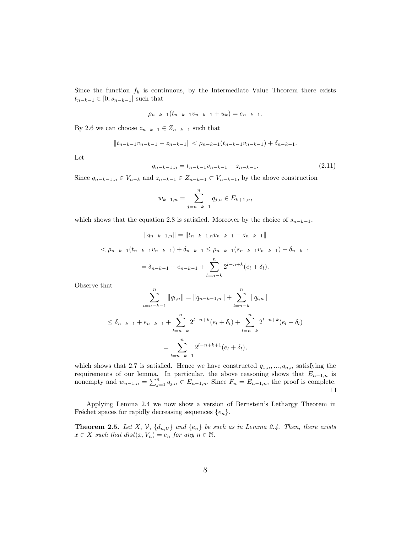Since the function  $f_k$  is continuous, by the Intermediate Value Theorem there exists  $t_{n-k-1} \in [0, s_{n-k-1}]$  such that

$$
\rho_{n-k-1}(t_{n-k-1}v_{n-k-1} + u_k) = e_{n-k-1}.
$$

By 2.6 we can choose  $z_{n-k-1} \in Z_{n-k-1}$  such that

$$
||t_{n-k-1}v_{n-k-1} - z_{n-k-1}|| < \rho_{n-k-1}(t_{n-k-1}v_{n-k-1}) + \delta_{n-k-1}.
$$

Let

$$
q_{n-k-1,n} = t_{n-k-1}v_{n-k-1} - z_{n-k-1}.
$$
\n(2.11)

Since  $q_{n-k-1,n} \in V_{n-k}$  and  $z_{n-k-1} \in Z_{n-k-1} \subset V_{n-k-1}$ , by the above construction

$$
w_{k-1,n} = \sum_{j=n-k-1}^{n} q_{j,n} \in E_{k+1,n},
$$

which shows that the equation 2.8 is satisfied. Moreover by the choice of  $s_{n-k-1}$ ,

$$
||q_{n-k-1,n}|| = ||t_{n-k-1,n}v_{n-k-1} - z_{n-k-1}||
$$
  

$$
< \rho_{n-k-1}(t_{n-k-1}v_{n-k-1}) + \delta_{n-k-1} \leq \rho_{n-k-1}(s_{n-k-1}v_{n-k-1}) + \delta_{n-k-1}
$$
  

$$
= \delta_{n-k-1} + e_{n-k-1} + \sum_{l=n-k}^{n} 2^{l-n+k}(e_l + \delta_l).
$$

Observe that

$$
\sum_{l=n-k-1}^{n} \|q_{l,n}\| = \|q_{n-k-1,n}\| + \sum_{l=n-k}^{n} \|q_{l,n}\|
$$
  

$$
\leq \delta_{n-k-1} + e_{n-k-1} + \sum_{l=n-k}^{n} 2^{l-n+k} (e_l + \delta_l) + \sum_{l=n-k}^{n} 2^{l-n+k} (e_l + \delta_l)
$$
  

$$
= \sum_{l=n-k-1}^{n} 2^{l-n+k+1} (e_l + \delta_l),
$$

which shows that 2.7 is satisfied. Hence we have constructed  $q_{1,n},..., q_{n,n}$  satisfying the requirements of our lemma. In particular, the above reasoning shows that  $E_{n-1,n}$  is nonempty and  $w_{n-1,n} = \sum_{j=1}^n q_{j,n} \in E_{n-1,n}$ . Since  $F_n = E_{n-1,n}$ , the proof is complete.  $\Box$ 

Applying Lemma 2.4 we now show a version of Bernstein's Lethargy Theorem in Fréchet spaces for rapidly decreasing sequences  $\{e_n\}$ .

**Theorem 2.5.** Let X, V,  $\{d_{n,v}\}\$  and  $\{e_n\}\$  be such as in Lemma 2.4. Then, there exists  $x \in X$  such that  $dist(x, V_n) = e_n$  for any  $n \in \mathbb{N}$ .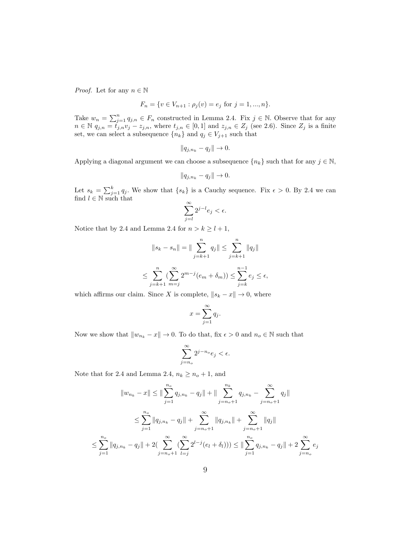*Proof.* Let for any  $n \in \mathbb{N}$ 

$$
F_n = \{ v \in V_{n+1} : \rho_j(v) = e_j \text{ for } j = 1, ..., n \}.
$$

Take  $w_n = \sum_{j=1}^n q_{j,n} \in F_n$  constructed in Lemma 2.4. Fix  $j \in \mathbb{N}$ . Observe that for any  $n \in \mathbb{N}$   $\overline{q_{j,n}} = \overline{t_{j,n}}v_j - z_{j,n}$ , where  $t_{j,n} \in [0,1]$  and  $z_{j,n} \in Z_j$  (see 2.6). Since  $Z_j$  is a finite set, we can select a subsequence  $\{n_k\}$  and  $q_j \in V_{j+1}$  such that

$$
||q_{j,n_k}-q_j||\to 0.
$$

Applying a diagonal argument we can choose a subsequence  $\{n_k\}$  such that for any  $j \in \mathbb{N}$ ,

$$
||q_{j,n_k} - q_j|| \to 0.
$$

Let  $s_k = \sum_{j=1}^k q_j$ . We show that  $\{s_k\}$  is a Cauchy sequence. Fix  $\epsilon > 0$ . By 2.4 we can find  $l \in \mathbb{N}$  such that

$$
\sum_{j=l}^{\infty} 2^{j-l} e_j < \epsilon.
$$

Notice that by 2.4 and Lemma 2.4 for  $n > k \ge l + 1$ ,

$$
||s_{k} - s_{n}|| = ||\sum_{j=k+1}^{n} q_{j}|| \leq \sum_{j=k+1}^{n} ||q_{j}||
$$
  

$$
\leq \sum_{j=k+1}^{n} (\sum_{m=j}^{\infty} 2^{m-j} (e_{m} + \delta_{m})) \leq \sum_{j=k}^{n-1} e_{j} \leq \epsilon,
$$

which affirms our claim. Since X is complete,  $||s_k - x|| \to 0$ , where

$$
x = \sum_{j=1}^{\infty} q_j.
$$

Now we show that  $\|w_{n_k} - x\| \to 0.$  To do that, fix  $\epsilon > 0$  and  $n_o \in \mathbb{N}$  such that

$$
\sum_{j=n_o}^{\infty} 2^{j-n_o} e_j < \epsilon.
$$

Note that for 2.4 and Lemma 2.4,  $n_k \geq n_o + 1$ , and

$$
||w_{n_k} - x|| \le ||\sum_{j=1}^{n_o} q_{j,n_k} - q_j|| + ||\sum_{j=n_o+1}^{n_k} q_{j,n_k} - \sum_{j=n_o+1}^{\infty} q_j||
$$
  

$$
\le \sum_{j=1}^{n_o} ||q_{j,n_k} - q_j|| + \sum_{j=n_o+1}^{\infty} ||q_{j,n_k}|| + \sum_{j=n_o+1}^{\infty} ||q_j||
$$
  

$$
\le \sum_{j=1}^{n_o} ||q_{j,n_k} - q_j|| + 2(\sum_{j=n_o+1}^{\infty} (\sum_{l=j}^{\infty} 2^{l-j} (e_l + \delta_l))) \le ||\sum_{j=1}^{n_o} q_{j,n_k} - q_j|| + 2\sum_{j=n_o}^{\infty} e_j
$$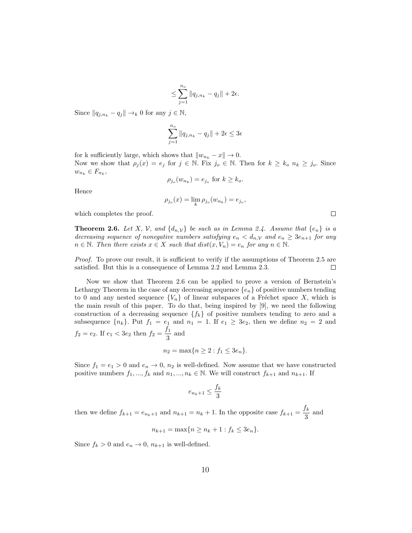$$
\leq \sum_{j=1}^{n_o} \|q_{j,n_k} - q_j\| + 2\epsilon.
$$

Since  $||q_{j,n_k} - q_j|| \rightarrow_k 0$  for any  $j \in \mathbb{N}$ ,

$$
\sum_{j=1}^{n_o} ||q_{j,n_k} - q_j|| + 2\epsilon \le 3\epsilon
$$

for k sufficiently large, which shows that  $||w_{n_k} - x|| \to 0$ . Now we show that  $\rho_j(x) = e_j$  for  $j \in \mathbb{N}$ . Fix  $j_o \in \mathbb{N}$ . Then for  $k \geq k_o$   $n_k \geq j_o$ . Since  $w_{n_k} \in F_{n_k},$ 

$$
\rho_{j_o}(w_{n_k}) = e_{j_o} \text{ for } k \ge k_o.
$$

Hence

$$
\rho_{j_o}(x) = \lim_{k} \rho_{j_o}(w_{n_k}) = e_{j_o},
$$

which completes the proof.

**Theorem 2.6.** Let X, V, and  $\{d_{n,y}\}\$ be such as in Lemma 2.4. Assume that  $\{e_n\}$  is a decreasing sequence of nonegative numbers satisfying  $e_n < d_{n,\mathcal{V}}$  and  $e_n \geq 3e_{n+1}$  for any  $n \in \mathbb{N}$ . Then there exists  $x \in X$  such that  $dist(x, V_n) = e_n$  for any  $n \in \mathbb{N}$ .

Proof. To prove our result, it is sufficient to verify if the assumptions of Theorem 2.5 are satisfied. But this is a consequence of Lemma 2.2 and Lemma 2.3.  $\Box$ 

Now we show that Theorem 2.6 can be applied to prove a version of Bernstein's Lethargy Theorem in the case of any decreasing sequence  ${e_n}$  of positive numbers tending to 0 and any nested sequence  ${V_n}$  of linear subspaces of a Fréchet space X, which is the main result of this paper. To do that, being inspired by [9], we need the following construction of a decreasing sequence  ${f_k}$  of positive numbers tending to zero and a subsequence  ${n_k}$ . Put  $f_1 = e_1$  and  $n_1 = 1$ . If  $e_1 \ge 3e_2$ , then we define  $n_2 = 2$  and  $f_2 = e_2$ . If  $e_1 < 3e_2$  then  $f_2 = \frac{f_1}{2}$  $\frac{1}{3}$  and

$$
n_2 = \max\{n \ge 2 : f_1 \le 3e_n\}.
$$

Since  $f_1 = e_1 > 0$  and  $e_n \to 0$ ,  $n_2$  is well-defined. Now assume that we have constructed positive numbers  $f_1, ..., f_k$  and  $n_1, ..., n_k \in \mathbb{N}$ . We will construct  $f_{k+1}$  and  $n_{k+1}$ . If

$$
e_{n_k+1} \le \frac{f_k}{3}
$$

then we define  $f_{k+1} = e_{n_k+1}$  and  $n_{k+1} = n_k + 1$ . In the opposite case  $f_{k+1} = \frac{f_k}{2}$  $rac{\kappa}{3}$  and

$$
n_{k+1} = \max\{n \ge n_k + 1 : f_k \le 3e_n\}.
$$

Since  $f_k > 0$  and  $e_n \to 0$ ,  $n_{k+1}$  is well-defined.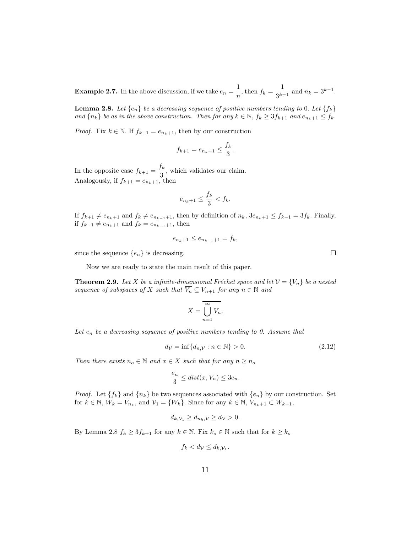**Example 2.7.** In the above discussion, if we take  $e_n = \frac{1}{n}$  $\frac{1}{n}$ , then  $f_k = \frac{1}{3^{k-1}}$  $\frac{1}{3^{k-1}}$  and  $n_k = 3^{k-1}$ .

**Lemma 2.8.** Let  $\{e_n\}$  be a decreasing sequence of positive numbers tending to 0. Let  $\{f_k\}$ and  $\{n_k\}$  be as in the above construction. Then for any  $k \in \mathbb{N}$ ,  $f_k \geq 3f_{k+1}$  and  $e_{n_k+1} \leq f_k$ .

*Proof.* Fix  $k \in \mathbb{N}$ . If  $f_{k+1} = e_{n_k+1}$ , then by our construction

$$
f_{k+1} = e_{n_k+1} \le \frac{f_k}{3}.
$$

In the opposite case  $f_{k+1} = \frac{f_k}{2}$  $\frac{3}{3}$ , which validates our claim. Analogously, if  $f_{k+1} = e_{n_k+1}$ , then

$$
e_{n_k+1} \le \frac{f_k}{3} < f_k.
$$

If  $f_{k+1} \neq e_{n_k+1}$  and  $f_k \neq e_{n_{k-1}+1}$ , then by definition of  $n_k$ ,  $3e_{n_k+1} \leq f_{k-1} = 3f_k$ . Finally, if  $f_{k+1} \neq e_{n_k+1}$  and  $f_k = e_{n_{k-1}+1}$ , then

$$
e_{n_k+1} \le e_{n_{k-1}+1} = f_k,
$$

since the sequence  $\{e_n\}$  is decreasing.

Now we are ready to state the main result of this paper.

**Theorem 2.9.** Let X be a infinite-dimensional Fréchet space and let  $V = \{V_n\}$  be a nested sequence of subspaces of X such that  $\overline{V_n} \subseteq V_{n+1}$  for any  $n \in \mathbb{N}$  and

$$
X = \overline{\bigcup_{n=1}^{\infty} V_n}.
$$

Let  $e_n$  be a decreasing sequence of positive numbers tending to 0. Assume that

$$
d_{\mathcal{V}} = \inf \{ d_{n, \mathcal{V}} : n \in \mathbb{N} \} > 0. \tag{2.12}
$$

Then there exists  $n_o \in \mathbb{N}$  and  $x \in X$  such that for any  $n \geq n_o$ 

$$
\frac{e_n}{3} \leq dist(x, V_n) \leq 3e_n.
$$

*Proof.* Let  ${f_k}$  and  ${n_k}$  be two sequences associated with  ${e_n}$  by our construction. Set for  $k \in \mathbb{N}$ ,  $W_k = V_{n_k}$ , and  $V_1 = \{W_k\}$ . Since for any  $k \in \mathbb{N}$ ,  $V_{n_k+1} \subset W_{k+1}$ ,

$$
d_{k,\mathcal{V}_1} \ge d_{n_k,\mathcal{V}} \ge d_{\mathcal{V}} > 0.
$$

By Lemma 2.8  $f_k \geq 3f_{k+1}$  for any  $k \in \mathbb{N}$ . Fix  $k_o \in \mathbb{N}$  such that for  $k \geq k_o$ 

$$
f_k < d_{\mathcal{V}} \leq d_{k, \mathcal{V}_1}.
$$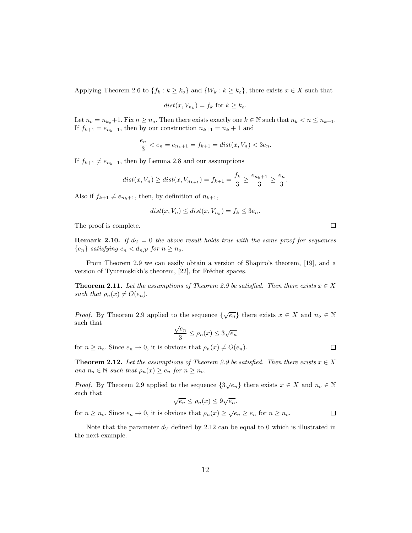Applying Theorem 2.6 to  $\{f_k : k \ge k_0\}$  and  $\{W_k : k \ge k_0\}$ , there exists  $x \in X$  such that

$$
dist(x, V_{n_k}) = f_k \text{ for } k \ge k_o.
$$

Let  $n_o = n_{k_o} + 1$ . Fix  $n \geq n_o$ . Then there exists exactly one  $k \in \mathbb{N}$  such that  $n_k < n \leq n_{k+1}$ . If  $f_{k+1} = e_{n_k+1}$ , then by our construction  $n_{k+1} = n_k + 1$  and

$$
\frac{e_n}{3} < e_n = e_{n_k+1} = f_{k+1} = dist(x, V_n) < 3e_n.
$$

If  $f_{k+1} \neq e_{n_k+1}$ , then by Lemma 2.8 and our assumptions

$$
dist(x, V_n) \geq dist(x, V_{n_{k+1}}) = f_{k+1} = \frac{f_k}{3} \geq \frac{e_{n_k+1}}{3} \geq \frac{e_n}{3}.
$$

Also if  $f_{k+1} \neq e_{n_k+1}$ , then, by definition of  $n_{k+1}$ ,

$$
dist(x, V_n) \leq dist(x, V_{n_k}) = f_k \leq 3e_n.
$$

The proof is complete.

**Remark 2.10.** If  $d<sub>V</sub> = 0$  the above result holds true with the same proof for sequences  ${e_n}$  satisfying  $e_n < d_{n,\mathcal{V}}$  for  $n \geq n_o$ .

From Theorem 2.9 we can easily obtain a version of Shapiro's theorem, [19], and a version of Tyuremskikh's theorem, [22], for Fréchet spaces.

**Theorem 2.11.** Let the assumptions of Theorem 2.9 be satisfied. Then there exists  $x \in X$ such that  $\rho_n(x) \neq O(e_n)$ .

*Proof.* By Theorem 2.9 applied to the sequence  $\{\sqrt{e_n}\}\)$  there exists  $x \in X$  and  $n_o \in \mathbb{N}$ such that √

$$
\frac{\sqrt{e_n}}{3} \le \rho_n(x) \le 3\sqrt{e_n}
$$

for  $n \geq n_o$ . Since  $e_n \to 0$ , it is obvious that  $\rho_n(x) \neq O(e_n)$ .

 $\Box$ 

 $\Box$ 

**Theorem 2.12.** Let the assumptions of Theorem 2.9 be satisfied. Then there exists  $x \in X$ and  $n_o \in \mathbb{N}$  such that  $\rho_n(x) \geq e_n$  for  $n \geq n_o$ .

*Proof.* By Theorem 2.9 applied to the sequence  $\{3\sqrt{e_n}\}\$  there exists  $x \in X$  and  $n_o \in \mathbb{N}$ such that √ √

$$
\sqrt{e_n} \le \rho_n(x) \le 9\sqrt{e_n}.
$$

for  $n \geq n_o$ . Since  $e_n \to 0$ , it is obvious that  $\rho_n(x) \geq \sqrt{e_n} \geq e_n$  for  $n \geq n_o$ .  $\Box$ 

Note that the parameter  $d<sub>V</sub>$  defined by 2.12 can be equal to 0 which is illustrated in the next example.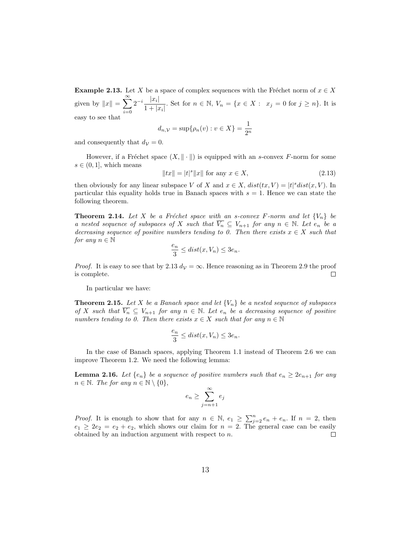**Example 2.13.** Let X be a space of complex sequences with the Fréchet norm of  $x \in X$ given by  $||x|| = \sum_{n=0}^{\infty}$  $i=0$  $2^{-i} \frac{|x_i|}{1+1}$  $\frac{|x_i|}{1+|x_i|}$ . Set for  $n \in \mathbb{N}$ ,  $V_n = \{x \in X : x_j = 0 \text{ for } j \ge n\}$ . It is easy to see that

$$
d_{n,\mathcal{V}} = \sup \{ \rho_n(v) : v \in X \} = \frac{1}{2^n}
$$

and consequently that  $d<sub>V</sub> = 0$ .

However, if a Fréchet space  $(X, \|\cdot\|)$  is equipped with an s-convex F-norm for some  $s \in (0, 1]$ , which means

$$
||tx|| = |t|^s ||x||
$$
 for any  $x \in X$ , (2.13)

then obviously for any linear subspace V of X and  $x \in X$ ,  $dist(tx, V) = |t|^s dist(x, V)$ . In particular this equality holds true in Banach spaces with  $s = 1$ . Hence we can state the following theorem.

**Theorem 2.14.** Let X be a Fréchet space with an s-convex F-norm and let  ${V_n}$  be a nested sequence of subspaces of X such that  $\overline{V_n} \subseteq V_{n+1}$  for any  $n \in \mathbb{N}$ . Let  $e_n$  be a decreasing sequence of positive numbers tending to 0. Then there exists  $x \in X$  such that for any  $n \in \mathbb{N}$ 

$$
\frac{e_n}{3}\leq dist(x,V_n)\leq 3e_n.
$$

*Proof.* It is easy to see that by 2.13  $d<sub>V</sub> = \infty$ . Hence reasoning as in Theorem 2.9 the proof is complete.  $\Box$ 

In particular we have:

**Theorem 2.15.** Let X be a Banach space and let  $\{V_n\}$  be a nested sequence of subspaces of X such that  $\overline{V_n} \subseteq V_{n+1}$  for any  $n \in \mathbb{N}$ . Let  $e_n$  be a decreasing sequence of positive numbers tending to 0. Then there exists  $x \in X$  such that for any  $n \in \mathbb{N}$ 

$$
\frac{e_n}{3} \leq dist(x, V_n) \leq 3e_n.
$$

In the case of Banach spaces, applying Theorem 1.1 instead of Theorem 2.6 we can improve Theorem 1.2. We need the following lemma:

**Lemma 2.16.** Let  $\{e_n\}$  be a sequence of positive numbers such that  $e_n \geq 2e_{n+1}$  for any  $n \in \mathbb{N}$ . The for any  $n \in \mathbb{N} \setminus \{0\},\$ 

$$
e_n \ge \sum_{j=n+1}^{\infty} e_j
$$

*Proof.* It is enough to show that for any  $n \in \mathbb{N}$ ,  $e_1 \ge \sum_{j=2}^n e_n + e_n$ . If  $n = 2$ , then  $e_1 \geq 2e_2 = e_2 + e_2$ , which shows our claim for  $n = 2$ . The general case can be easily obtained by an induction argument with respect to n.  $\Box$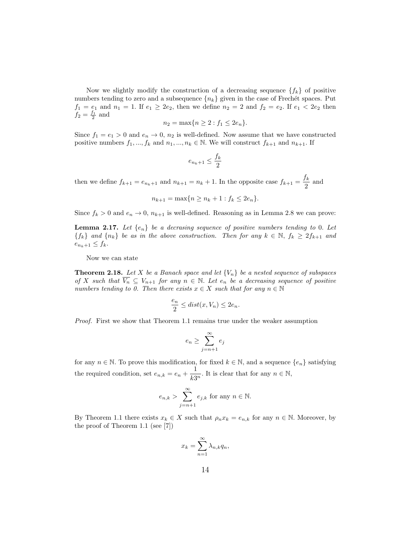Now we slightly modify the construction of a decreasing sequence  $\{f_k\}$  of positive numbers tending to zero and a subsequence  $\{n_k\}$  given in the case of Frechét spaces. Put  $f_1 = e_1$  and  $n_1 = 1$ . If  $e_1 \ge 2e_2$ , then we define  $n_2 = 2$  and  $f_2 = e_2$ . If  $e_1 < 2e_2$  then  $f_2 = \frac{f_1}{2}$  and

$$
n_2 = \max\{n \ge 2 : f_1 \le 2e_n\}.
$$

Since  $f_1 = e_1 > 0$  and  $e_n \to 0$ ,  $n_2$  is well-defined. Now assume that we have constructed positive numbers  $f_1, ..., f_k$  and  $n_1, ..., n_k \in \mathbb{N}$ . We will construct  $f_{k+1}$  and  $n_{k+1}$ . If

$$
e_{n_k+1} \le \frac{f_k}{2}
$$

then we define  $f_{k+1} = e_{n_k+1}$  and  $n_{k+1} = n_k + 1$ . In the opposite case  $f_{k+1} = \frac{f_k}{2}$  $\frac{\pi}{2}$  and

$$
n_{k+1} = \max\{n \ge n_k + 1 : f_k \le 2e_n\}.
$$

Since  $f_k > 0$  and  $e_n \to 0$ ,  $n_{k+1}$  is well-defined. Reasoning as in Lemma 2.8 we can prove:

**Lemma 2.17.** Let  $\{e_n\}$  be a decrasing sequence of positive numbers tending to 0. Let  ${f_k}$  and  ${n_k}$  be as in the above construction. Then for any  $k \in \mathbb{N}$ ,  $f_k \ge 2f_{k+1}$  and  $e_{n_k+1} \leq f_k$ .

Now we can state

**Theorem 2.18.** Let X be a Banach space and let  ${V_n}$  be a nested sequence of subspaces of X such that  $\overline{V_n} \subseteq V_{n+1}$  for any  $n \in \mathbb{N}$ . Let  $e_n$  be a decreasing sequence of positive numbers tending to 0. Then there exists  $x \in X$  such that for any  $n \in \mathbb{N}$ 

$$
\frac{e_n}{2} \leq dist(x, V_n) \leq 2e_n.
$$

Proof. First we show that Theorem 1.1 remains true under the weaker assumption

$$
e_n \geq \sum_{j=n+1}^\infty e_j
$$

for any  $n \in \mathbb{N}$ . To prove this modification, for fixed  $k \in \mathbb{N}$ , and a sequence  $\{e_n\}$  satisfying the required condition, set  $e_{n,k} = e_n + \frac{1}{k!}$  $\frac{1}{k3^n}$ . It is clear that for any  $n \in \mathbb{N}$ ,

$$
e_{n,k}
$$
 >  $\sum_{j=n+1}^{\infty} e_{j,k}$  for any  $n \in \mathbb{N}$ .

By Theorem 1.1 there exists  $x_k \in X$  such that  $\rho_n x_k = e_{n,k}$  for any  $n \in \mathbb{N}$ . Moreover, by the proof of Theorem 1.1 (see [7])

$$
x_k = \sum_{n=1}^{\infty} \lambda_{n,k} q_n,
$$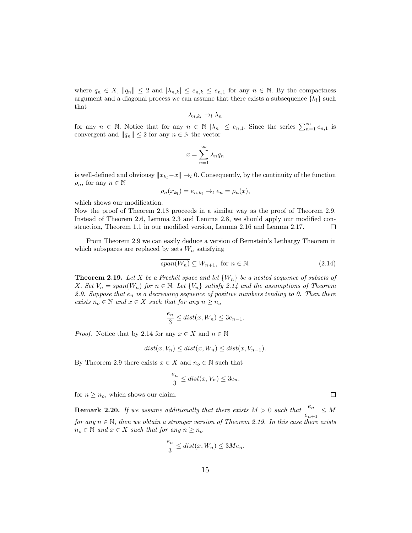where  $q_n \in X$ ,  $||q_n|| \leq 2$  and  $|\lambda_{n,k}| \leq e_{n,k} \leq e_{n,1}$  for any  $n \in \mathbb{N}$ . By the compactness argument and a diagonal process we can assume that there exists a subsequence  ${k_l}$  such that

$$
\lambda_{n,k_l}\to_l\lambda_n
$$

for any  $n \in \mathbb{N}$ . Notice that for any  $n \in \mathbb{N}$   $|\lambda_n| \leq e_{n,1}$ . Since the series  $\sum_{n=1}^{\infty} e_{n,1}$  is convergent and  $||q_n|| \leq 2$  for any  $n \in \mathbb{N}$  the vector

$$
x = \sum_{n=1}^{\infty} \lambda_n q_n
$$

is well-defined and obviousy  $||x_{k} - x|| \rightarrow 0$ . Consequently, by the continuity of the function  $\rho_n$ , for any  $n \in \mathbb{N}$ 

$$
\rho_n(x_{k_l}) = e_{n,k_l} \to_l e_n = \rho_n(x),
$$

which shows our modification.

Now the proof of Theorem 2.18 proceeds in a similar way as the proof of Theorem 2.9. Instead of Theorem 2.6, Lemma 2.3 and Lemma 2.8, we should apply our modified construction, Theorem 1.1 in our modified version, Lemma 2.16 and Lemma 2.17.  $\Box$ 

From Theorem 2.9 we can easily deduce a version of Bernstein's Lethargy Theorem in which subspaces are replaced by sets  $W_n$  satisfying

$$
\overline{span(W_n)} \subseteq W_{n+1}, \text{ for } n \in \mathbb{N}.
$$
 (2.14)

**Theorem 2.19.** Let X be a Frechet space and let  ${W_n}$  be a nested sequence of subsets of X. Set  $V_n = \overline{span(W_n)}$  for  $n \in \mathbb{N}$ . Let  $\{V_n\}$  satisfy 2.14 and the assumptions of Theorem 2.9. Suppose that  $e_n$  is a decreasing sequence of positive numbers tending to 0. Then there exists  $n_o \in \mathbb{N}$  and  $x \in X$  such that for any  $n \geq n_o$ 

$$
\frac{e_n}{3} \le dist(x, W_n) \le 3e_{n-1}.
$$

*Proof.* Notice that by 2.14 for any  $x \in X$  and  $n \in \mathbb{N}$ 

$$
dist(x, V_n) \leq dist(x, W_n) \leq dist(x, V_{n-1}).
$$

By Theorem 2.9 there exists  $x \in X$  and  $n_o \in \mathbb{N}$  such that

$$
\frac{e_n}{3} \leq dist(x, V_n) \leq 3e_n.
$$

for  $n \geq n_o$ , which shows our claim.

**Remark 2.20.** If we assume additionally that there exists  $M > 0$  such that  $\frac{e_n}{e_{n+1}} \leq M$ for any  $n \in \mathbb{N}$ , then we obtain a stronger version of Theorem 2.19. In this case there exists  $n_o \in \mathbb{N}$  and  $x \in X$  such that for any  $n \geq n_o$ 

$$
\frac{e_n}{3} \leq dist(x, W_n) \leq 3Me_n.
$$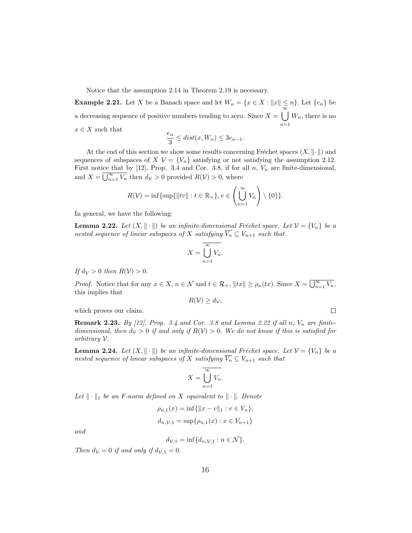Notice that the assumption 2.14 in Theorem 2.19 is necessary.

**Example 2.21.** Let X be a Banach space and let  $W_n = \{x \in X : ||x|| \leq n\}$ . Let  $\{e_n\}$  be a decreasing sequence of positive numbers tending to zero. Since  $X = \bigcup_{n=0}^{\infty} W_n$ , there is no  $n=1$  $x \in X$  such that

$$
\frac{e_n}{3} \leq dist(x, W_n) \leq 3e_{n-1}.
$$

At the end of this section we show some results concerning Fréchet spaces  $(X, \|\cdot\|)$  and sequences of subspaces of  $X \mathcal{V} = \{V_n\}$  satisfying or not satisfying the assumption 2.12. First notice that by  $[12]$ , Prop. 3.4 and Cor. 3.8, if for all n,  $V_n$  are finite-dimensional, and  $X = \overline{\bigcup_{n=1}^{\infty} V_n}$  then  $d_V > 0$  provided  $R(V) > 0$ , where

$$
R(\mathcal{V}) = \inf \{ \sup \{ ||tv|| : t \in \mathbb{R}_+ \}, v \in \left( \bigcup_{n=1}^{\infty} V_n \right) \setminus \{0\} \}.
$$

In general, we have the following:

**Lemma 2.22.** Let  $(X, \|\cdot\|)$  be an infinite-dimensional Fréchet space. Let  $\mathcal{V} = \{V_n\}$  be a nested sequence of linear subspaces of X satisfying  $\overline{V_n} \subseteq V_{n+1}$  such that

$$
X = \overline{\bigcup_{n=1}^{\infty} V_n}.
$$

If  $d_{\mathcal{V}} > 0$  then  $R(\mathcal{V}) > 0$ .

*Proof.* Notice that for any  $x \in X$ ,  $n \in \mathcal{N}$  and  $t \in \mathcal{R}_+$ ,  $||tx|| \ge \rho_n(tx)$ . Since  $X = \overline{\bigcup_{n=1}^{\infty} V_n}$ , this implies that

$$
R(\mathcal{V}) \geq d_{\mathcal{V}},
$$

 $\Box$ 

which proves our claim.

**Remark 2.23.** By [12], Prop. 3.4 and Cor. 3.8 and Lemma 2.22 if all  $n$ ,  $V_n$  are finitedimensional, then  $d_V > 0$  if and only if  $R(V) > 0$ . We do not know if this is satisfied for arbitrary V.

**Lemma 2.24.** Let  $(X, \|\cdot\|)$  be an infinite-dimensional Fréchet space. Let  $\mathcal{V} = \{V_n\}$  be a nested sequence of linear subspaces of X satisfying  $\overline{V_n} \subseteq V_{n+1}$  such that

$$
X = \overline{\bigcup_{n=1}^{\infty} V_n}.
$$

Let  $\|\cdot\|_1$  be an F-norm defined on X equivalent to  $\|\cdot\|$ . Denote

$$
\rho_{n,1}(x) = \inf \{ ||x - v||_1 : v \in V_n \},\
$$
  

$$
d_{n,\mathcal{V},1} = \sup \{ \rho_{n,1}(x) : x \in V_{n+1} \}
$$

and

$$
d_{\mathcal{V},1} = \inf \{ d_{n,\mathcal{V},1} : n \in \mathcal{N} \}.
$$

Then  $d_{\mathcal{V}} = 0$  if and only if  $d_{\mathcal{V},1} = 0$ .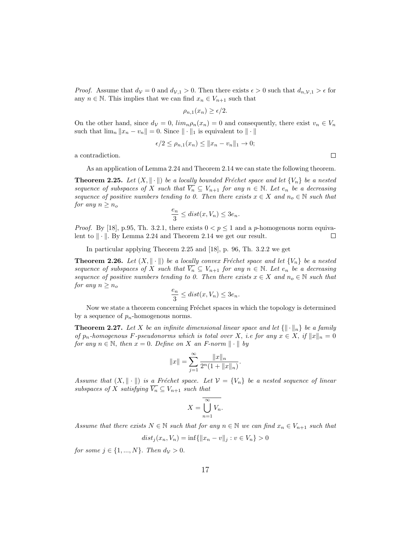*Proof.* Assume that  $d_V = 0$  and  $d_{V,1} > 0$ . Then there exists  $\epsilon > 0$  such that  $d_{n,V,1} > \epsilon$  for any  $n \in \mathbb{N}$ . This implies that we can find  $x_n \in V_{n+1}$  such that

$$
\rho_{n,1}(x_n) \ge \epsilon/2.
$$

On the other hand, since  $d_{\mathcal{V}} = 0$ ,  $\lim_{n \to \infty} \rho_n(x_n) = 0$  and consequently, there exist  $v_n \in V_n$ such that  $\lim_{n} ||x_n - v_n|| = 0$ . Since  $|| \cdot ||_1$  is equivalent to  $|| \cdot ||_1$ 

$$
\epsilon/2 \le \rho_{n,1}(x_n) \le ||x_n - v_n||_1 \to 0;
$$

a contradiction.

As an application of Lemma 2.24 and Theorem 2.14 we can state the following theorem.

**Theorem 2.25.** Let  $(X, \|\cdot\|)$  be a locally bounded Fréchet space and let  $\{V_n\}$  be a nested sequence of subspaces of X such that  $\overline{V_n} \subseteq V_{n+1}$  for any  $n \in \mathbb{N}$ . Let  $e_n$  be a decreasing sequence of positive numbers tending to 0. Then there exists  $x \in X$  and  $n_o \in \mathbb{N}$  such that for any  $n \geq n_o$ 

$$
\frac{e_n}{3} \leq dist(x, V_n) \leq 3e_n.
$$

*Proof.* By [18], p.95, Th. 3.2.1, there exists  $0 < p \le 1$  and a p-homogenous norm equivalent to  $\|\cdot\|$ . By Lemma 2.24 and Theorem 2.14 we get our result. П

In particular applying Theorem 2.25 and [18], p. 96, Th. 3.2.2 we get

**Theorem 2.26.** Let  $(X, \|\cdot\|)$  be a locally convex Fréchet space and let  ${V_n}$  be a nested sequence of subspaces of X such that  $\overline{V_n} \subseteq V_{n+1}$  for any  $n \in \mathbb{N}$ . Let  $e_n$  be a decreasing sequence of positive numbers tending to 0. Then there exists  $x \in X$  and  $n_o \in \mathbb{N}$  such that for any  $n \geq n_o$ 

$$
\frac{e_n}{3} \leq dist(x, V_n) \leq 3e_n.
$$

Now we state a theorem concerning Fréchet spaces in which the topology is determined by a sequence of  $p_n$ -homogenous norms.

**Theorem 2.27.** Let X be an infinite dimensional linear space and let  $\{\|\cdot\|_n\}$  be a family of  $p_n$ -homogenous F-pseudonorms which is total over X, i.e for any  $x \in X$ , if  $||x||_n = 0$ for any  $n \in \mathbb{N}$ , then  $x = 0$ . Define on X an F-norm  $\|\cdot\|$  by

$$
||x|| = \sum_{j=1}^{\infty} \frac{||x||_n}{2^n(1+||x||_n)}.
$$

Assume that  $(X, \|\cdot\|)$  is a Fréchet space. Let  $\mathcal{V} = \{V_n\}$  be a nested sequence of linear subspaces of X satisfying  $\overline{V_n} \subseteq V_{n+1}$  such that

$$
X = \overline{\bigcup_{n=1}^{\infty} V_n}.
$$

Assume that there exists  $N \in \mathbb{N}$  such that for any  $n \in \mathbb{N}$  we can find  $x_n \in V_{n+1}$  such that

$$
dist_j(x_n, V_n) = \inf \{ ||x_n - v||_j : v \in V_n \} > 0
$$

for some  $j \in \{1, ..., N\}$ . Then  $d_V > 0$ .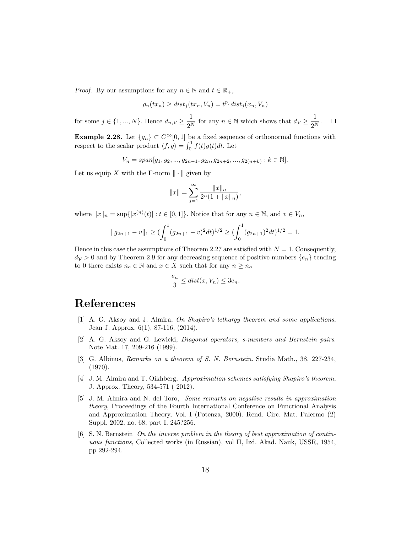*Proof.* By our assumptions for any  $n \in \mathbb{N}$  and  $t \in \mathbb{R}_+$ ,

$$
\rho_n(tx_n) \ge dist_j(tx_n, V_n) = t^{p_j} dist_j(x_n, V_n)
$$

for some  $j \in \{1, ..., N\}$ . Hence  $d_{n,\mathcal{V}} \geq \frac{1}{2N}$  $\frac{1}{2^N}$  for any  $n \in \mathbb{N}$  which shows that  $d_V \geq \frac{1}{2^N}$  $\frac{1}{2^N}$ .

**Example 2.28.** Let  ${g_n} \subset C^\infty[0,1]$  be a fixed sequence of orthonormal functions with respect to the scalar product  $\langle f, g \rangle = \int_0^1 f(t)g(t)dt$ . Let

$$
V_n = span[g_1, g_2, ..., g_{2n-1}, g_{2n}, g_{2n+2}, ..., g_{2(n+k)} : k \in \mathbb{N}].
$$

Let us equip X with the F-norm  $\|\cdot\|$  given by

$$
||x|| = \sum_{j=1}^{\infty} \frac{||x||_n}{2^n(1 + ||x||_n)},
$$

where  $||x||_n = \sup\{|x^{(n)}(t)| : t \in [0,1]\}$ . Notice that for any  $n \in \mathbb{N}$ , and  $v \in V_n$ ,

$$
||g_{2n+1}-v||_1 \geq (\int_0^1 (g_{2n+1}-v)^2 dt)^{1/2} \geq (\int_0^1 (g_{2n+1})^2 dt)^{1/2} = 1.
$$

Hence in this case the assumptions of Theorem 2.27 are satisfied with  $N = 1$ . Consequently,  $d_V > 0$  and by Theorem 2.9 for any decreasing sequence of positive numbers  $\{e_n\}$  tending to 0 there exists  $n_o \in \mathbb{N}$  and  $x \in X$  such that for any  $n \geq n_o$ 

$$
\frac{e_n}{3} \leq dist(x, V_n) \leq 3e_n.
$$

## References

- [1] A. G. Aksoy and J. Almira, On Shapiro's lethargy theorem and some applications, Jean J. Approx. 6(1), 87-116, (2014).
- [2] A. G. Aksoy and G. Lewicki, Diagonal operators, s-numbers and Bernstein pairs. Note Mat. 17, 209-216 (1999).
- [3] G. Albinus, Remarks on a theorem of S. N. Bernstein. Studia Math., 38, 227-234, (1970).
- [4] J. M. Almira and T. Oikhberg, Approximation schemes satisfying Shapiro's theorem, J. Approx. Theory, 534-571 ( 2012).
- [5] J. M. Almira and N. del Toro, Some remarks on negative results in approximation theory, Proceedings of the Fourth International Conference on Functional Analysis and Approximation Theory, Vol. I (Potenza, 2000). Rend. Circ. Mat. Palermo (2) Suppl. 2002, no. 68, part I, 245?256.
- [6] S. N. Bernstein On the inverse problem in the theory of best approximation of continuous functions, Collected works (in Russian), vol II, Izd. Akad. Nauk, USSR, 1954, pp 292-294.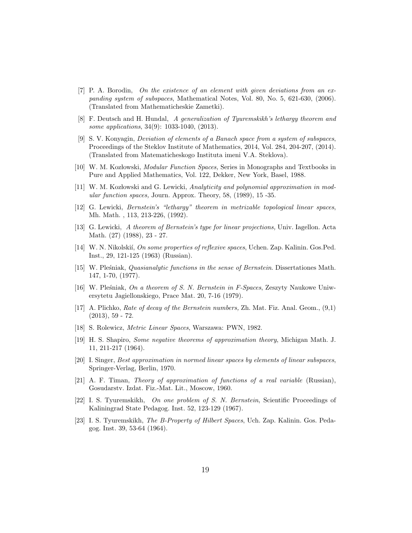- [7] P. A. Borodin, On the existence of an element with given deviations from an expanding system of subspaces, Mathematical Notes, Vol. 80, No. 5, 621-630, (2006). (Translated from Mathematicheskie Zametki).
- [8] F. Deutsch and H. Hundal, A generalization of Tyuremskikh's lethargy theorem and some applications, 34(9): 1033-1040, (2013).
- [9] S. V. Konyagin, Deviation of elements of a Banach space from a system of subspaces, Proceedings of the Steklov Institute of Mathematics, 2014, Vol. 284, 204-207, (2014). (Translated from Matematicheskogo Instituta imeni V.A. Steklova).
- [10] W. M. Kozłowski, *Modular Function Spaces*, Series in Monographs and Textbooks in Pure and Applied Mathematics, Vol. 122, Dekker, New York, Basel, 1988.
- [11] W. M. Kozłowski and G. Lewicki, Analyticity and polynomial approximation in modular function spaces, Journ. Approx. Theory, 58, (1989), 15 -35.
- [12] G. Lewicki, Bernstein's "lethargy" theorem in metrizable topological linear spaces, Mh. Math. , 113, 213-226, (1992).
- [13] G. Lewicki, A theorem of Bernstein's type for linear projections, Univ. Iagellon. Acta Math. (27) (1988), 23 - 27.
- [14] W. N. Nikolskií, On some properties of reflexive spaces, Uchen. Zap. Kalinin. Gos.Ped. Inst., 29, 121-125 (1963) (Russian).
- [15] W. Plesniak, *Quasianalytic functions in the sense of Bernstein*. Dissertationes Math. 147, 1-70, (1977).
- [16] W. Pleśniak, On a theorem of S. N. Bernstein in F-Spaces, Zeszyty Naukowe Uniwersytetu Jagiellonskiego, Prace Mat. 20, 7-16 (1979).
- [17] A. Plichko, Rate of decay of the Bernstein numbers, Zh. Mat. Fiz. Anal. Geom., (9,1) (2013), 59 - 72.
- [18] S. Rolewicz, Metric Linear Spaces, Warszawa: PWN, 1982.
- [19] H. S. Shapiro, Some negative theorems of approximation theory, Michigan Math. J. 11, 211-217 (1964).
- [20] I. Singer, Best approximation in normed linear spaces by elements of linear subspaces, Springer-Verlag, Berlin, 1970.
- [21] A. F. Timan, Theory of approximation of functions of a real variable (Russian), Gosudarstv. Izdat. Fiz.-Mat. Lit., Moscow, 1960.
- [22] I. S. Tyuremskikh, On one problem of S. N. Bernstein, Scientific Proceedings of Kaliningrad State Pedagog. Inst. 52, 123-129 (1967).
- [23] I. S. Tyuremskikh, The B-Property of Hilbert Spaces, Uch. Zap. Kalinin. Gos. Pedagog. Inst. 39, 53-64 (1964).